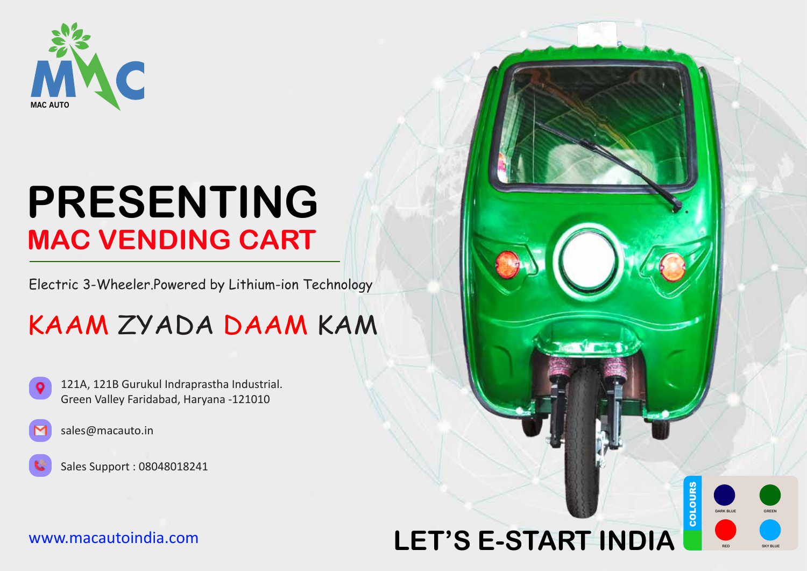

# **PRESENTING MAC VENDING CART**

Electric 3-Wheeler.Powered by Lithium-ion Technology

### KAAM ZYADA DAAM KAM





Sales Support : 08048018241

#### www.macautoindia.com

## **COLOURS LET'S E-START INDIA**

COLOURS

**DARK BLUE**

**RED SKY BLUE**

**GREEN**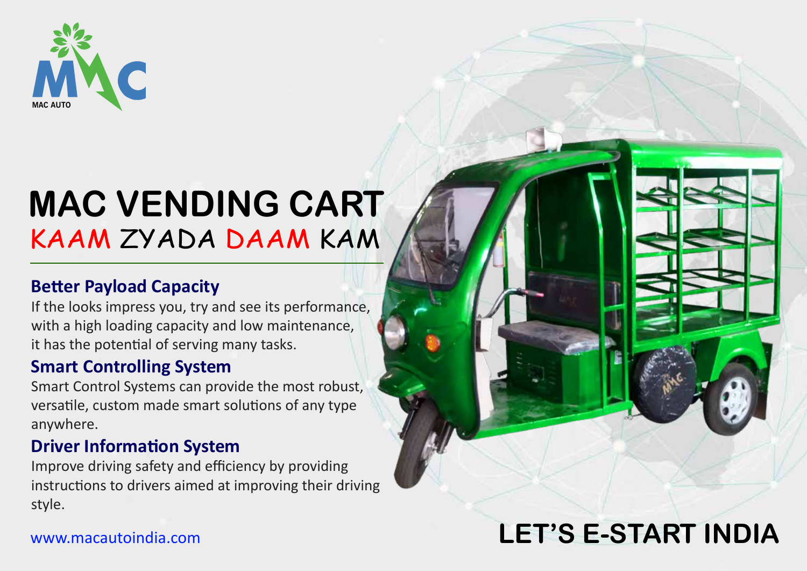

# **MAC VENDING CART** KAAM ZYADA DAAM KAM

### **Better Payload Capacity**

If the looks impress you, try and see its performance, with a high loading capacity and low maintenance, it has the potential of serving many tasks.

#### **Smart Controlling System**

Smart Control Systems can provide the most robust, versatile, custom made smart solutions of any type anywhere.

### **Driver Information System**

Improve driving safety and efficiency by providing instructions to drivers aimed at improving their driving style.

### **LET'S E-START INDIA**

#### www.macautoindia.com